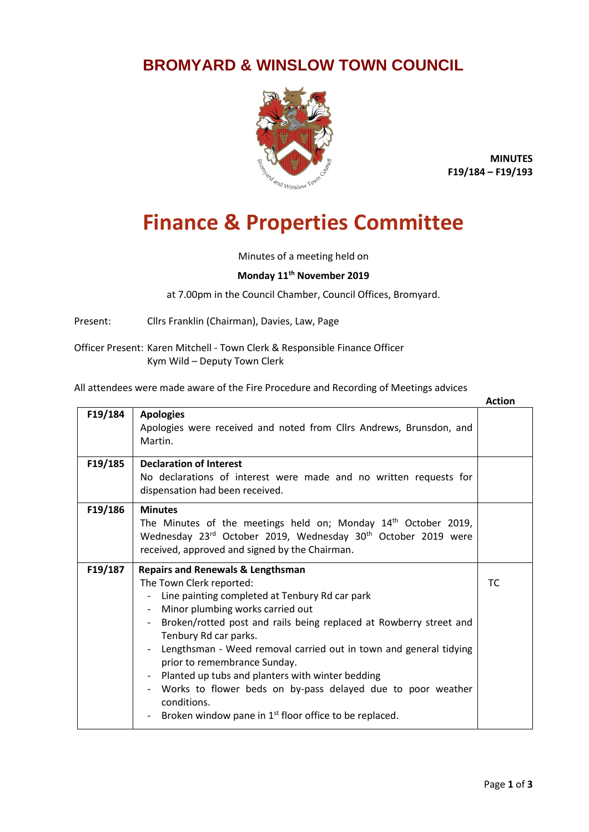## **BROMYARD & WINSLOW TOWN COUNCIL**



**MINUTES F19/184 – F19/193**

## **Finance & Properties Committee**

Minutes of a meeting held on

## **Monday 11th November 2019**

at 7.00pm in the Council Chamber, Council Offices, Bromyard.

Present: Cllrs Franklin (Chairman), Davies, Law, Page

Officer Present: Karen Mitchell - Town Clerk & Responsible Finance Officer Kym Wild – Deputy Town Clerk

All attendees were made aware of the Fire Procedure and Recording of Meetings advices

|         |                                                                                                                                                                                                                                                                                                                                                                                                                                                                                                                                                                            | <b>Action</b> |
|---------|----------------------------------------------------------------------------------------------------------------------------------------------------------------------------------------------------------------------------------------------------------------------------------------------------------------------------------------------------------------------------------------------------------------------------------------------------------------------------------------------------------------------------------------------------------------------------|---------------|
| F19/184 | <b>Apologies</b><br>Apologies were received and noted from Cllrs Andrews, Brunsdon, and<br>Martin.                                                                                                                                                                                                                                                                                                                                                                                                                                                                         |               |
| F19/185 | <b>Declaration of Interest</b><br>No declarations of interest were made and no written requests for<br>dispensation had been received.                                                                                                                                                                                                                                                                                                                                                                                                                                     |               |
| F19/186 | <b>Minutes</b><br>The Minutes of the meetings held on; Monday 14 <sup>th</sup> October 2019,<br>Wednesday 23 <sup>rd</sup> October 2019, Wednesday 30 <sup>th</sup> October 2019 were<br>received, approved and signed by the Chairman.                                                                                                                                                                                                                                                                                                                                    |               |
| F19/187 | <b>Repairs and Renewals &amp; Lengthsman</b><br>The Town Clerk reported:<br>Line painting completed at Tenbury Rd car park<br>Minor plumbing works carried out<br>Broken/rotted post and rails being replaced at Rowberry street and<br>Tenbury Rd car parks.<br>Lengthsman - Weed removal carried out in town and general tidying<br>prior to remembrance Sunday.<br>Planted up tubs and planters with winter bedding<br>Works to flower beds on by-pass delayed due to poor weather<br>conditions.<br>Broken window pane in 1 <sup>st</sup> floor office to be replaced. | <b>TC</b>     |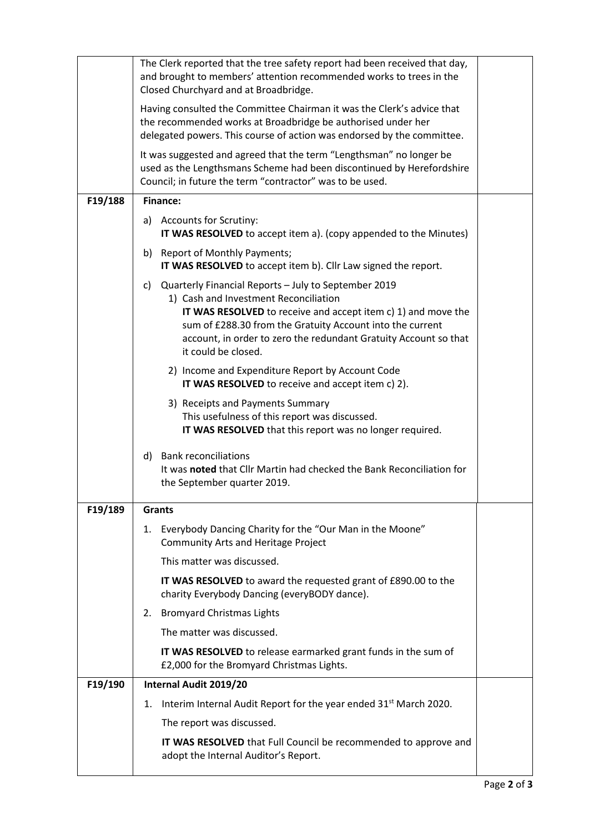|         | The Clerk reported that the tree safety report had been received that day,<br>and brought to members' attention recommended works to trees in the<br>Closed Churchyard and at Broadbridge.                                                                                                                                          |  |
|---------|-------------------------------------------------------------------------------------------------------------------------------------------------------------------------------------------------------------------------------------------------------------------------------------------------------------------------------------|--|
|         | Having consulted the Committee Chairman it was the Clerk's advice that<br>the recommended works at Broadbridge be authorised under her<br>delegated powers. This course of action was endorsed by the committee.                                                                                                                    |  |
|         | It was suggested and agreed that the term "Lengthsman" no longer be<br>used as the Lengthsmans Scheme had been discontinued by Herefordshire<br>Council; in future the term "contractor" was to be used.                                                                                                                            |  |
| F19/188 | <b>Finance:</b>                                                                                                                                                                                                                                                                                                                     |  |
|         | a) Accounts for Scrutiny:<br>IT WAS RESOLVED to accept item a). (copy appended to the Minutes)                                                                                                                                                                                                                                      |  |
|         | b) Report of Monthly Payments;<br>IT WAS RESOLVED to accept item b). Cllr Law signed the report.                                                                                                                                                                                                                                    |  |
|         | Quarterly Financial Reports - July to September 2019<br>C)<br>1) Cash and Investment Reconciliation<br><b>IT WAS RESOLVED</b> to receive and accept item c) 1) and move the<br>sum of £288.30 from the Gratuity Account into the current<br>account, in order to zero the redundant Gratuity Account so that<br>it could be closed. |  |
|         | 2) Income and Expenditure Report by Account Code<br>IT WAS RESOLVED to receive and accept item c) 2).                                                                                                                                                                                                                               |  |
|         | 3) Receipts and Payments Summary<br>This usefulness of this report was discussed.<br>IT WAS RESOLVED that this report was no longer required.                                                                                                                                                                                       |  |
|         | <b>Bank reconciliations</b><br>d)<br>It was noted that Cllr Martin had checked the Bank Reconciliation for<br>the September quarter 2019.                                                                                                                                                                                           |  |
| F19/189 | <b>Grants</b>                                                                                                                                                                                                                                                                                                                       |  |
|         | Everybody Dancing Charity for the "Our Man in the Moone"<br>1.<br><b>Community Arts and Heritage Project</b>                                                                                                                                                                                                                        |  |
|         | This matter was discussed.                                                                                                                                                                                                                                                                                                          |  |
|         | IT WAS RESOLVED to award the requested grant of £890.00 to the<br>charity Everybody Dancing (everyBODY dance).                                                                                                                                                                                                                      |  |
|         | <b>Bromyard Christmas Lights</b><br>2.                                                                                                                                                                                                                                                                                              |  |
|         | The matter was discussed.                                                                                                                                                                                                                                                                                                           |  |
|         | IT WAS RESOLVED to release earmarked grant funds in the sum of<br>£2,000 for the Bromyard Christmas Lights.                                                                                                                                                                                                                         |  |
| F19/190 | Internal Audit 2019/20                                                                                                                                                                                                                                                                                                              |  |
|         | Interim Internal Audit Report for the year ended 31 <sup>st</sup> March 2020.<br>1.                                                                                                                                                                                                                                                 |  |
|         | The report was discussed.                                                                                                                                                                                                                                                                                                           |  |
|         | IT WAS RESOLVED that Full Council be recommended to approve and<br>adopt the Internal Auditor's Report.                                                                                                                                                                                                                             |  |
|         |                                                                                                                                                                                                                                                                                                                                     |  |